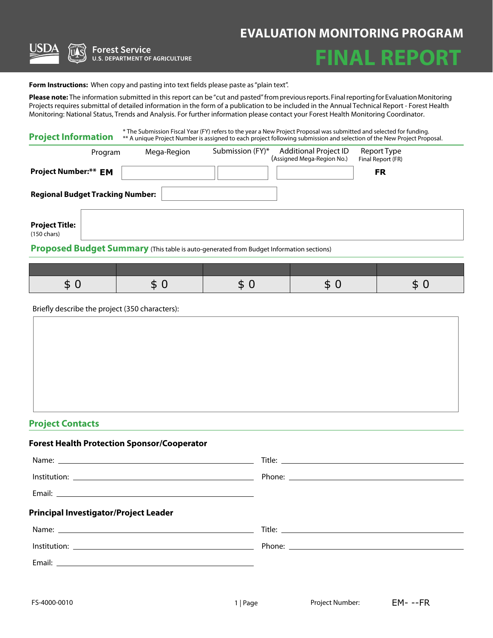## **EVALUATION MONITORING PROGRAM**



**Forest Service U.S. DEPARTMENT OF AGRICULTURE** 



Form Instructions: When copy and pasting into text fields please paste as "plain text".

**Please note:** The information submitted in this report can be "cut and pasted" from previous reports. Final reporting for Evaluation Monitoring Projects requires submittal of detailed information in the form of a publication to be included in the Annual Technical Report - Forest Health Monitoring: National Status, Trends and Analysis. For further information please contact your Forest Health Monitoring Coordinator.

| <b>Project Information</b>                     |             | * The Submission Fiscal Year (FY) refers to the year a New Project Proposal was submitted and selected for funding.<br>** A unique Project Number is assigned to each project following submission and selection of the New Project Proposal. |                                  |  |  |
|------------------------------------------------|-------------|-----------------------------------------------------------------------------------------------------------------------------------------------------------------------------------------------------------------------------------------------|----------------------------------|--|--|
| Program                                        | Mega-Region | Submission (FY)*<br>Additional Project ID<br>(Assigned Mega-Region No.)                                                                                                                                                                       | Report Type<br>Final Report (FR) |  |  |
| <b>Project Number:** EM</b>                    |             |                                                                                                                                                                                                                                               | <b>FR</b>                        |  |  |
| <b>Regional Budget Tracking Number:</b>        |             |                                                                                                                                                                                                                                               |                                  |  |  |
| <b>Project Title:</b><br>$(150 \text{ chars})$ |             |                                                                                                                                                                                                                                               |                                  |  |  |
|                                                |             | Proposed Budget Summary (This table is auto-generated from Budget Information sections)                                                                                                                                                       |                                  |  |  |

| - 12 | - 12 | . . |  |
|------|------|-----|--|

Briefly describe the project (350 characters):

#### **Project Contacts**

# **Forest Health Protection Sponsor/Cooperator** Name: Title: Institution: Phone: Email: **Principal Investigator/Project Leader**

| . .<br>_<br>. . |        |
|-----------------|--------|
| Name:           | Title: |
|                 |        |
| Institution:    | Phone: |
|                 |        |
| Email:          |        |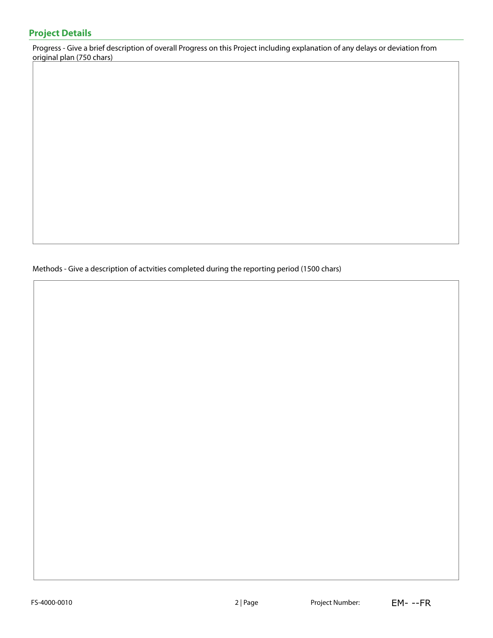Progress - Give a brief description of overall Progress on this Project including explanation of any delays or deviation from original plan (750 chars)

Methods - Give a description of actvities completed during the reporting period (1500 chars)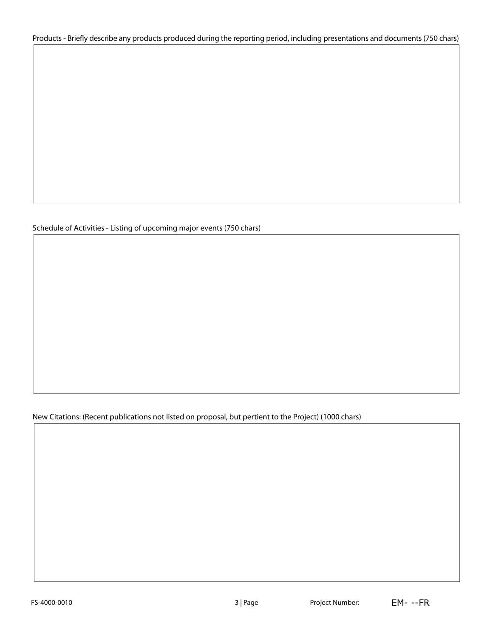#### Products - Briefly describe any products produced during the reporting period, including presentations and documents (750 chars)

#### Schedule of Activities - Listing of upcoming major events (750 chars)

New Citations: (Recent publications not listed on proposal, but pertient to the Project) (1000 chars)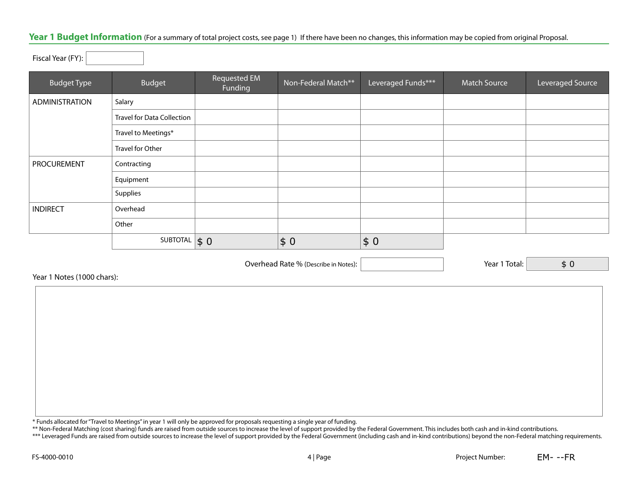#### Year 1 Budget Information (For a summary of total project costs, see page 1) If there have been no changes, this information may be copied from original Proposal.

Fiscal Year (FY):

| <b>Budget Type</b> | Budget                            | <b>Requested EM</b><br>Funding | Non-Federal Match** | Leveraged Funds*** | <b>Match Source</b> | Leveraged Source |
|--------------------|-----------------------------------|--------------------------------|---------------------|--------------------|---------------------|------------------|
| ADMINISTRATION     | Salary                            |                                |                     |                    |                     |                  |
|                    | <b>Travel for Data Collection</b> |                                |                     |                    |                     |                  |
|                    | Travel to Meetings*               |                                |                     |                    |                     |                  |
|                    | Travel for Other                  |                                |                     |                    |                     |                  |
| PROCUREMENT        | Contracting                       |                                |                     |                    |                     |                  |
|                    | Equipment                         |                                |                     |                    |                     |                  |
|                    | Supplies                          |                                |                     |                    |                     |                  |
| <b>INDIRECT</b>    | Overhead                          |                                |                     |                    |                     |                  |
|                    | Other                             |                                |                     |                    |                     |                  |
|                    | SUBTOTAL $\vert \$ 0 \vert$       |                                | \$0                 | \$0                |                     |                  |

Overhead Rate % (Describe in Notes): Year 1 Total:

Year 1 Notes (1000 chars):

\* Funds allocated for "Travel to Meetings" in year 1 will only be approved for proposals requesting a single year of funding.

\*\* Non-Federal Matching (cost sharing) funds are raised from outside sources to increase the level of support provided by the Federal Government. This includes both cash and in-kind contributions.

\*\*\* Leveraged Funds are raised from outside sources to increase the level of support provided by the Federal Government (including cash and in-kind contributions) beyond the non-Federal matching requirements.

\$ 0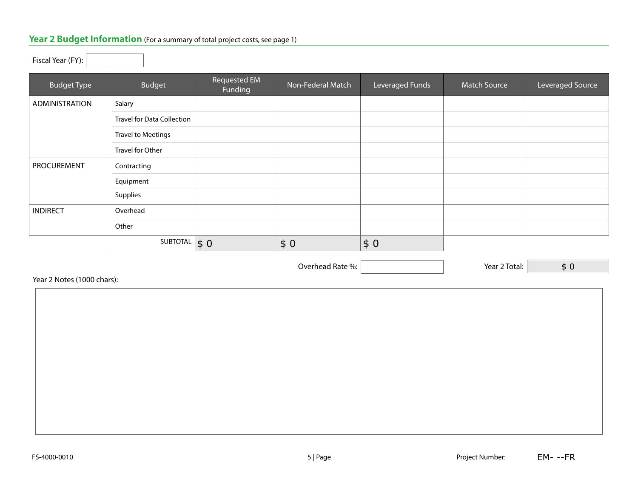## Year 2 Budget Information (For a summary of total project costs, see page 1)

### Fiscal Year (FY):

| <b>Budget Type</b> | Budget                            | Requested EM<br>Funding   | Non-Federal Match | Leveraged Funds | <b>Match Source</b> | Leveraged Source |
|--------------------|-----------------------------------|---------------------------|-------------------|-----------------|---------------------|------------------|
| ADMINISTRATION     | Salary                            |                           |                   |                 |                     |                  |
|                    | <b>Travel for Data Collection</b> |                           |                   |                 |                     |                  |
|                    | <b>Travel to Meetings</b>         |                           |                   |                 |                     |                  |
|                    | Travel for Other                  |                           |                   |                 |                     |                  |
| <b>PROCUREMENT</b> | Contracting                       |                           |                   |                 |                     |                  |
|                    | Equipment                         |                           |                   |                 |                     |                  |
|                    | Supplies                          |                           |                   |                 |                     |                  |
| <b>INDIRECT</b>    | Overhead                          |                           |                   |                 |                     |                  |
|                    | Other                             |                           |                   |                 |                     |                  |
|                    | SUBTOTAL                          | $\vert \mathsf{s}\vert 0$ | \$0               | \$0             |                     |                  |

Overhead Rate %:  $\boxed{\phantom{\begin{bmatrix} 0 \end{bmatrix}}$  / Year 2 Total:

Year 2 Notes (1000 chars):

| 'ear 2 Notes (1000 chars): |  |  |
|----------------------------|--|--|
|                            |  |  |
|                            |  |  |
|                            |  |  |
|                            |  |  |
|                            |  |  |
|                            |  |  |
|                            |  |  |
|                            |  |  |
|                            |  |  |
|                            |  |  |
|                            |  |  |
|                            |  |  |
|                            |  |  |
|                            |  |  |

\$ 0